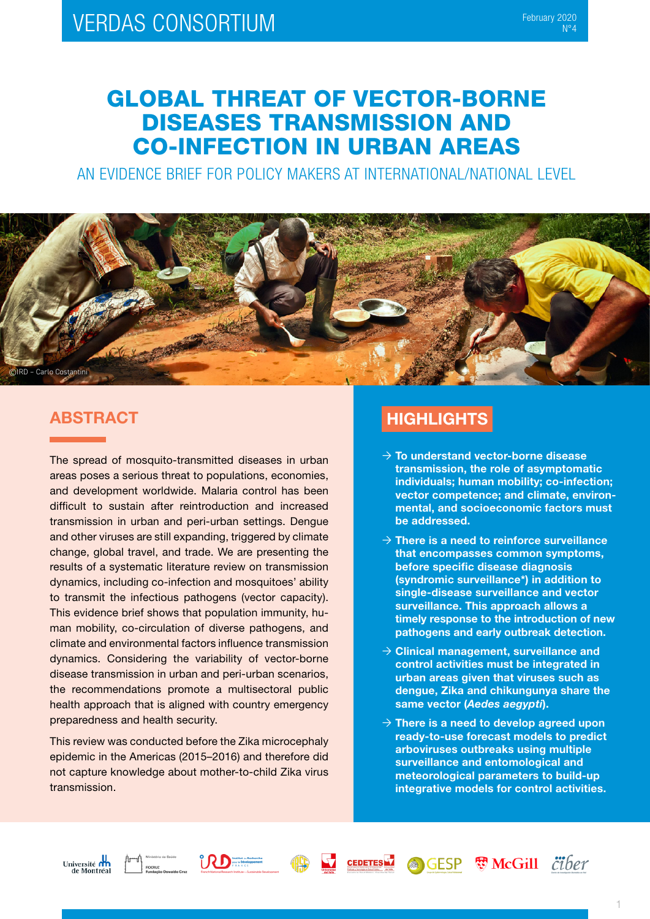# GLOBAL THREAT OF VECTOR-BORNE DISEASES TRANSMISSION AND CO-INFECTION IN URBAN AREAS

AN EVIDENCE BRIEF FOR POLICY MAKERS AT INTERNATIONAL/NATIONAL LEVEL



### ABSTRACT

The spread of mosquito-transmitted diseases in urban areas poses a serious threat to populations, economies, and development worldwide. Malaria control has been difficult to sustain after reintroduction and increased transmission in urban and peri-urban settings. Dengue and other viruses are still expanding, triggered by climate change, global travel, and trade. We are presenting the results of a systematic literature review on transmission dynamics, including co-infection and mosquitoes' ability to transmit the infectious pathogens (vector capacity). This evidence brief shows that population immunity, human mobility, co-circulation of diverse pathogens, and climate and environmental factors influence transmission dynamics. Considering the variability of vector-borne disease transmission in urban and peri-urban scenarios, the recommendations promote a multisectoral public health approach that is aligned with country emergency preparedness and health security.

This review was conducted before the Zika microcephaly epidemic in the Americas (2015–2016) and therefore did not capture knowledge about mother-to-child Zika virus transmission.

## **HIGHLIGHTS**

- $\rightarrow$  To understand vector-borne disease transmission, the role of asymptomatic individuals; human mobility; co-infection; vector competence; and climate, environmental, and socioeconomic factors must be addressed.
- $\rightarrow$  There is a need to reinforce surveillance that encompasses common symptoms, before specific disease diagnosis (syndromic surveillance\*) in addition to single-disease surveillance and vector surveillance. This approach allows a timely response to the introduction of new pathogens and early outbreak detection.
- $\rightarrow$  Clinical management, surveillance and control activities must be integrated in urban areas given that viruses such as dengue, Zika and chikungunya share the same vector (*Aedes aegypti*).
- $\rightarrow$  There is a need to develop agreed upon ready-to-use forecast models to predict arboviruses outbreaks using multiple surveillance and entomological and meteorological parameters to build-up integrative models for control activities.







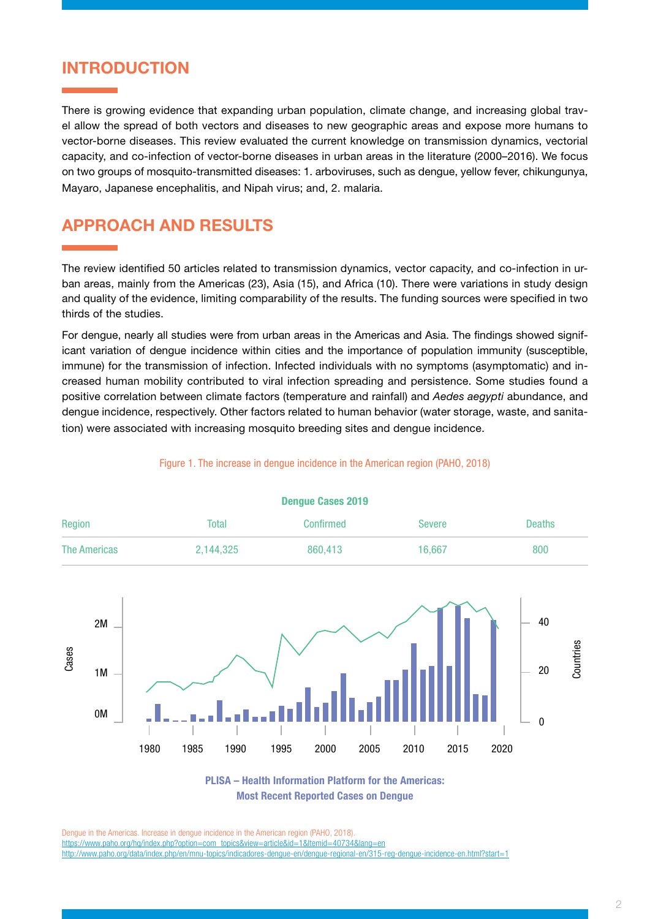#### INTRODUCTION

There is growing evidence that expanding urban population, climate change, and increasing global travel allow the spread of both vectors and diseases to new geographic areas and expose more humans to vector-borne diseases. This review evaluated the current knowledge on transmission dynamics, vectorial capacity, and co-infection of vector-borne diseases in urban areas in the literature (2000–2016). We focus on two groups of mosquito-transmitted diseases: 1. arboviruses, such as dengue, yellow fever, chikungunya, Mayaro, Japanese encephalitis, and Nipah virus; and, 2. malaria.

### APPROACH AND RESULTS

1980

Cases

1M

0M

The review identified 50 articles related to transmission dynamics, vector capacity, and co-infection in urban areas, mainly from the Americas (23), Asia (15), and Africa (10). There were variations in study design and quality of the evidence, limiting comparability of the results. The funding sources were specified in two thirds of the studies.

For dengue, nearly all studies were from urban areas in the Americas and Asia. The findings showed significant variation of dengue incidence within cities and the importance of population immunity (susceptible, immune) for the transmission of infection. Infected individuals with no symptoms (asymptomatic) and increased human mobility contributed to viral infection spreading and persistence. Some studies found a positive correlation between climate factors (temperature and rainfall) and *Aedes aegypti* abundance, and dengue incidence, respectively. Other factors related to human behavior (water storage, waste, and sanitation) were associated with increasing mosquito breeding sites and dengue incidence.



#### Figure 1. The increase in dengue incidence in the American region (PAHO, 2018)

Dengue Cases 2019

PLISA – Health Information Platform for the Americas: Most Recent Reported Cases on Dengue

1985 1990 1995 2000 2005 2010 2015 2020

Dengue in the Americas. Increase in dengue incidence in the American region (PAHO, 2018). [https://www.paho.org/hq/index.php?option=com\\_topics&view=article&id=1&Itemid=40734&lang=en](https://www.paho.org/hq/index.php?option=com_topics&view=article&id=1&Itemid=40734&lang=en) [http://www.paho.org/data/index.php/en/mnu-topics/indicadores-dengue-en/dengue-regional-en/315-reg-dengue-incidence-en.html?start=1](http://www.paho.org/data/index.php/en/mnu-topics/indicadores-dengue-en/dengue-regional-en/315-reg-de) Countries

20

 $\Omega$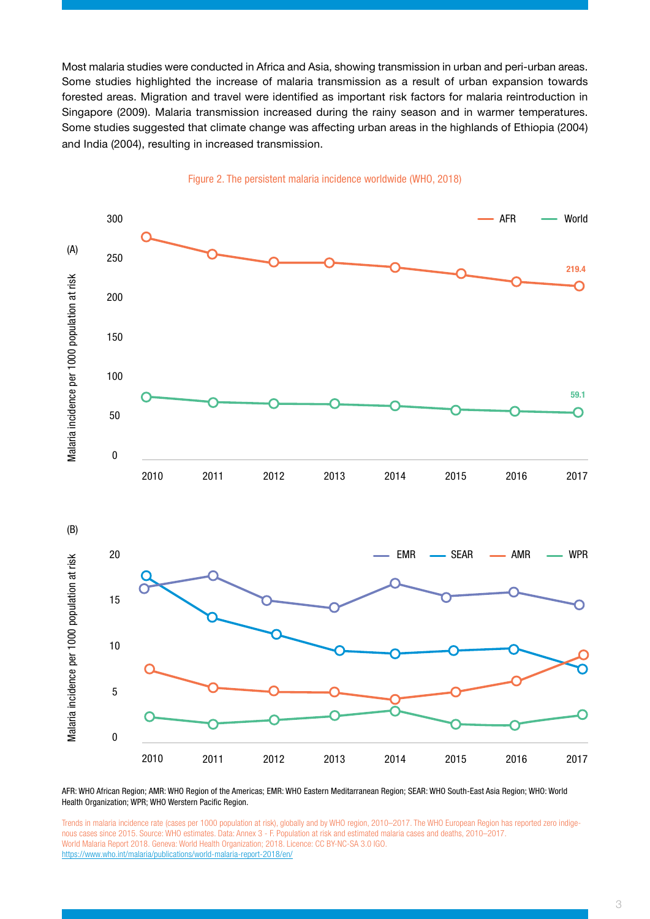Most malaria studies were conducted in Africa and Asia, showing transmission in urban and peri-urban areas. Some studies highlighted the increase of malaria transmission as a result of urban expansion towards forested areas. Migration and travel were identified as important risk factors for malaria reintroduction in Singapore (2009). Malaria transmission increased during the rainy season and in warmer temperatures. Some studies suggested that climate change was affecting urban areas in the highlands of Ethiopia (2004) and India (2004), resulting in increased transmission.



#### Figure 2. The persistent malaria incidence worldwide (WHO, 2018)

AFR: WHO African Region; AMR: WHO Region of the Americas; EMR: WHO Eastern Meditarranean Region; SEAR: WHO South-East Asia Region; WHO: World Health Organization; WPR; WHO Werstern Pacific Region.

Trends in malaria incidence rate (cases per 1000 population at risk), globally and by WHO region, 2010–2017. The WHO European Region has reported zero indigenous cases since 2015. Source: WHO estimates. Data: Annex 3 - F. Population at risk and estimated malaria cases and deaths, 2010–2017. World Malaria Report 2018. Geneva: World Health Organization; 2018. Licence: CC BY-NC-SA 3.0 IGO. <https://www.who.int/malaria/publications/world-malaria-report-2018/en/>